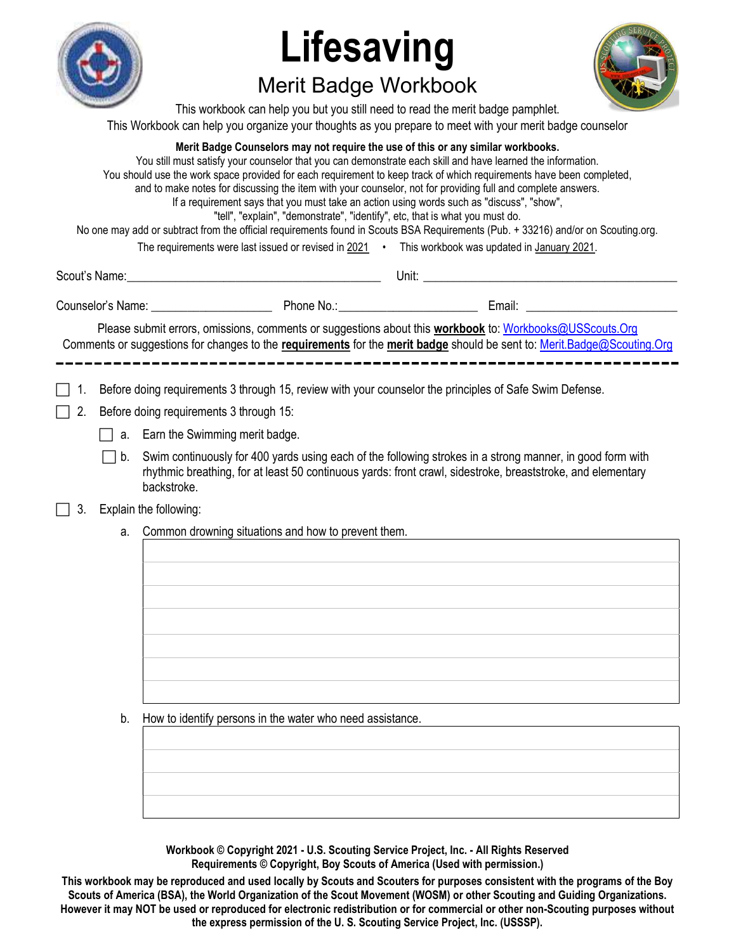

# Lifesaving

## Merit Badge Workbook



This workbook can help you but you still need to read the merit badge pamphlet. This Workbook can help you organize your thoughts as you prepare to meet with your merit badge counselor

Merit Badge Counselors may not require the use of this or any similar workbooks. You still must satisfy your counselor that you can demonstrate each skill and have learned the information. You should use the work space provided for each requirement to keep track of which requirements have been completed, and to make notes for discussing the item with your counselor, not for providing full and complete answers. If a requirement says that you must take an action using words such as "discuss", "show", "tell", "explain", "demonstrate", "identify", etc, that is what you must do. No one may add or subtract from the official requirements found in Scouts BSA Requirements (Pub. + 33216) and/or on Scouting.org. The requirements were last issued or revised in 2021 • This workbook was updated in January 2021. Scout's Name: \_\_\_\_\_\_\_\_\_\_\_\_\_\_\_\_\_\_\_\_\_\_\_\_\_\_\_\_\_\_\_\_\_\_\_\_\_\_\_\_\_\_ Unit: \_\_\_\_\_\_\_\_\_\_\_\_\_\_\_\_\_\_\_\_\_\_\_\_\_\_\_\_\_\_\_\_\_\_\_\_\_\_\_\_\_\_ Counselor's Name: \_\_\_\_\_\_\_\_\_\_\_\_\_\_\_\_\_\_\_\_ Phone No.: \_\_\_\_\_\_\_\_\_\_\_\_\_\_\_\_\_\_\_\_\_\_\_ Email: \_\_\_\_\_\_\_\_\_\_\_\_\_\_\_\_\_\_\_\_\_\_\_\_\_ Please submit errors, omissions, comments or suggestions about this workbook to: Workbooks@USScouts.Org Comments or suggestions for changes to the requirements for the merit badge should be sent to: Merit.Badge@Scouting.Org 1. Before doing requirements 3 through 15, review with your counselor the principles of Safe Swim Defense.  $\Box$  2. Before doing requirements 3 through 15:  $\Box$  a. Earn the Swimming merit badge.  $\Box$  b. Swim continuously for 400 yards using each of the following strokes in a strong manner, in good form with rhythmic breathing, for at least 50 continuous yards: front crawl, sidestroke, breaststroke, and elementary backstroke.  $\Box$  3. Explain the following: a. Common drowning situations and how to prevent them.

b. How to identify persons in the water who need assistance.

Workbook © Copyright 2021 - U.S. Scouting Service Project, Inc. - All Rights Reserved Requirements © Copyright, Boy Scouts of America (Used with permission.)

This workbook may be reproduced and used locally by Scouts and Scouters for purposes consistent with the programs of the Boy Scouts of America (BSA), the World Organization of the Scout Movement (WOSM) or other Scouting and Guiding Organizations. However it may NOT be used or reproduced for electronic redistribution or for commercial or other non-Scouting purposes without the express permission of the U. S. Scouting Service Project, Inc. (USSSP).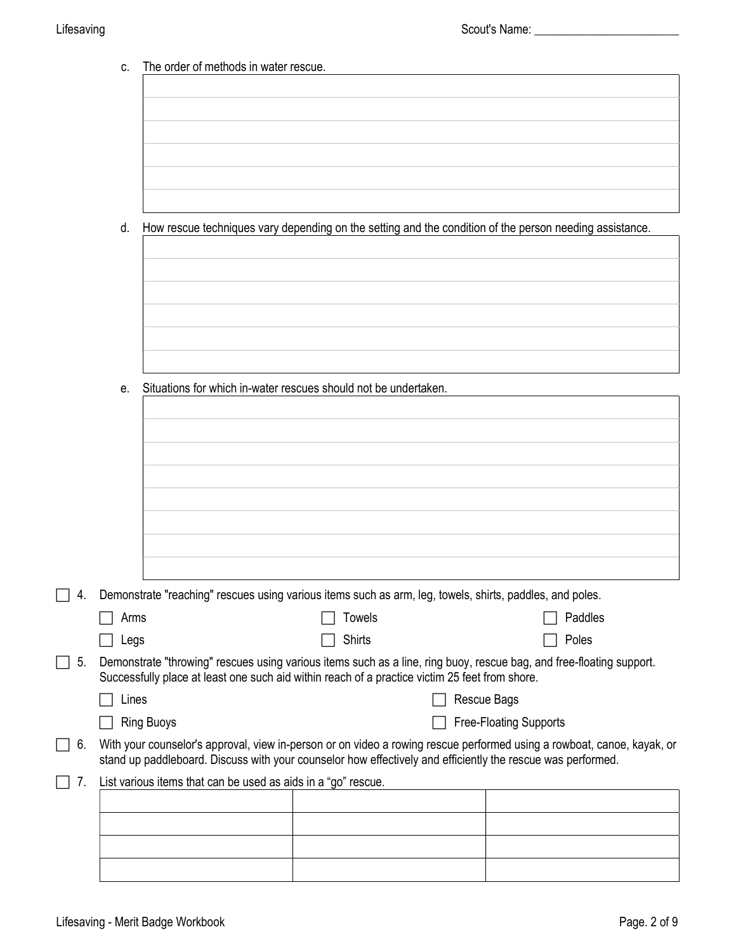|                                                                                                                | C.                                                                                                                                                                                                                     | The order of methods in water rescue.                                                                                                                                                                                                 |               |  |                                                                                                         |  |  |
|----------------------------------------------------------------------------------------------------------------|------------------------------------------------------------------------------------------------------------------------------------------------------------------------------------------------------------------------|---------------------------------------------------------------------------------------------------------------------------------------------------------------------------------------------------------------------------------------|---------------|--|---------------------------------------------------------------------------------------------------------|--|--|
|                                                                                                                |                                                                                                                                                                                                                        |                                                                                                                                                                                                                                       |               |  |                                                                                                         |  |  |
|                                                                                                                |                                                                                                                                                                                                                        |                                                                                                                                                                                                                                       |               |  |                                                                                                         |  |  |
|                                                                                                                |                                                                                                                                                                                                                        |                                                                                                                                                                                                                                       |               |  |                                                                                                         |  |  |
|                                                                                                                |                                                                                                                                                                                                                        |                                                                                                                                                                                                                                       |               |  |                                                                                                         |  |  |
|                                                                                                                | d.                                                                                                                                                                                                                     |                                                                                                                                                                                                                                       |               |  | How rescue techniques vary depending on the setting and the condition of the person needing assistance. |  |  |
|                                                                                                                |                                                                                                                                                                                                                        |                                                                                                                                                                                                                                       |               |  |                                                                                                         |  |  |
|                                                                                                                |                                                                                                                                                                                                                        |                                                                                                                                                                                                                                       |               |  |                                                                                                         |  |  |
|                                                                                                                |                                                                                                                                                                                                                        |                                                                                                                                                                                                                                       |               |  |                                                                                                         |  |  |
|                                                                                                                |                                                                                                                                                                                                                        |                                                                                                                                                                                                                                       |               |  |                                                                                                         |  |  |
|                                                                                                                | е.                                                                                                                                                                                                                     | Situations for which in-water rescues should not be undertaken.                                                                                                                                                                       |               |  |                                                                                                         |  |  |
|                                                                                                                |                                                                                                                                                                                                                        |                                                                                                                                                                                                                                       |               |  |                                                                                                         |  |  |
|                                                                                                                |                                                                                                                                                                                                                        |                                                                                                                                                                                                                                       |               |  |                                                                                                         |  |  |
|                                                                                                                |                                                                                                                                                                                                                        |                                                                                                                                                                                                                                       |               |  |                                                                                                         |  |  |
|                                                                                                                |                                                                                                                                                                                                                        |                                                                                                                                                                                                                                       |               |  |                                                                                                         |  |  |
|                                                                                                                |                                                                                                                                                                                                                        |                                                                                                                                                                                                                                       |               |  |                                                                                                         |  |  |
| Demonstrate "reaching" rescues using various items such as arm, leg, towels, shirts, paddles, and poles.<br>4. |                                                                                                                                                                                                                        |                                                                                                                                                                                                                                       |               |  |                                                                                                         |  |  |
|                                                                                                                | Arms                                                                                                                                                                                                                   |                                                                                                                                                                                                                                       | Towels        |  | Paddles                                                                                                 |  |  |
|                                                                                                                | Legs                                                                                                                                                                                                                   |                                                                                                                                                                                                                                       | <b>Shirts</b> |  | Poles                                                                                                   |  |  |
| 5.                                                                                                             | Demonstrate "throwing" rescues using various items such as a line, ring buoy, rescue bag, and free-floating support.<br>Successfully place at least one such aid within reach of a practice victim 25 feet from shore. |                                                                                                                                                                                                                                       |               |  |                                                                                                         |  |  |
|                                                                                                                | Lines                                                                                                                                                                                                                  |                                                                                                                                                                                                                                       |               |  | <b>Rescue Bags</b>                                                                                      |  |  |
|                                                                                                                |                                                                                                                                                                                                                        | <b>Ring Buoys</b>                                                                                                                                                                                                                     |               |  | <b>Free-Floating Supports</b>                                                                           |  |  |
| 6.                                                                                                             |                                                                                                                                                                                                                        | With your counselor's approval, view in-person or on video a rowing rescue performed using a rowboat, canoe, kayak, or<br>stand up paddleboard. Discuss with your counselor how effectively and efficiently the rescue was performed. |               |  |                                                                                                         |  |  |
| 7.                                                                                                             | List various items that can be used as aids in a "go" rescue.                                                                                                                                                          |                                                                                                                                                                                                                                       |               |  |                                                                                                         |  |  |
|                                                                                                                |                                                                                                                                                                                                                        |                                                                                                                                                                                                                                       |               |  |                                                                                                         |  |  |
|                                                                                                                |                                                                                                                                                                                                                        |                                                                                                                                                                                                                                       |               |  |                                                                                                         |  |  |
|                                                                                                                |                                                                                                                                                                                                                        |                                                                                                                                                                                                                                       |               |  |                                                                                                         |  |  |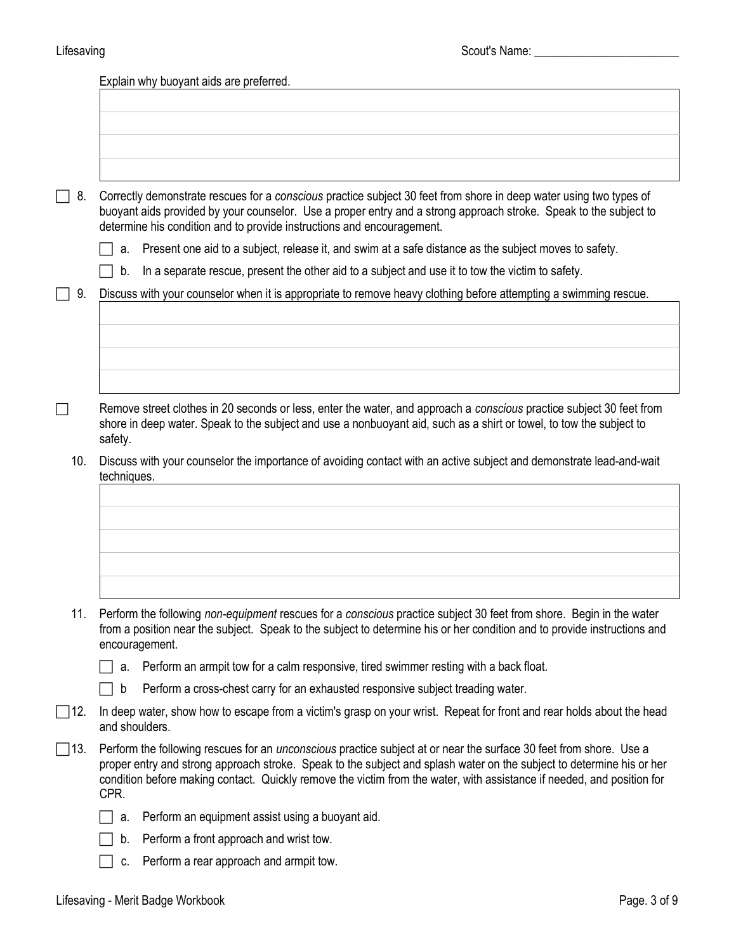Explain why buoyant aids are preferred.

| Correctly demonstrate rescues for a <i>conscious</i> practice subject 30 feet from shore in deep water using two types of<br>' 8.<br>buoyant aids provided by your counselor. Use a proper entry and a strong approach stroke. Speak to the subject to<br>determine his condition and to provide instructions and encouragement. |    |                                                                                                                  |  |  |
|----------------------------------------------------------------------------------------------------------------------------------------------------------------------------------------------------------------------------------------------------------------------------------------------------------------------------------|----|------------------------------------------------------------------------------------------------------------------|--|--|
|                                                                                                                                                                                                                                                                                                                                  | a. | Present one aid to a subject, release it, and swim at a safe distance as the subject moves to safety.            |  |  |
|                                                                                                                                                                                                                                                                                                                                  | b. | In a separate rescue, present the other aid to a subject and use it to tow the victim to safety.                 |  |  |
| -9.                                                                                                                                                                                                                                                                                                                              |    | Discuss with your counselor when it is appropriate to remove heavy clothing before attempting a swimming rescue. |  |  |
|                                                                                                                                                                                                                                                                                                                                  |    |                                                                                                                  |  |  |
|                                                                                                                                                                                                                                                                                                                                  |    |                                                                                                                  |  |  |

Remove street clothes in 20 seconds or less, enter the water, and approach a *conscious* practice subject 30 feet from shore in deep water. Speak to the subject and use a nonbuoyant aid, such as a shirt or towel, to tow the subject to safety.

- 10. Discuss with your counselor the importance of avoiding contact with an active subject and demonstrate lead-and-wait techniques.
	-
- 11. Perform the following non-equipment rescues for a conscious practice subject 30 feet from shore. Begin in the water from a position near the subject. Speak to the subject to determine his or her condition and to provide instructions and encouragement.
	- $\Box$  a. Perform an armpit tow for a calm responsive, tired swimmer resting with a back float.



- $\Box$  b Perform a cross-chest carry for an exhausted responsive subject treading water.
- $\Box$  12. In deep water, show how to escape from a victim's grasp on your wrist. Repeat for front and rear holds about the head and shoulders.
- 13. Perform the following rescues for an *unconscious* practice subject at or near the surface 30 feet from shore. Use a proper entry and strong approach stroke. Speak to the subject and splash water on the subject to determine his or her condition before making contact. Quickly remove the victim from the water, with assistance if needed, and position for CPR.
	- $\Box$  a. Perform an equipment assist using a buoyant aid.
	- $\Box$  b. Perform a front approach and wrist tow.
	- $\Box$  c. Perform a rear approach and armpit tow.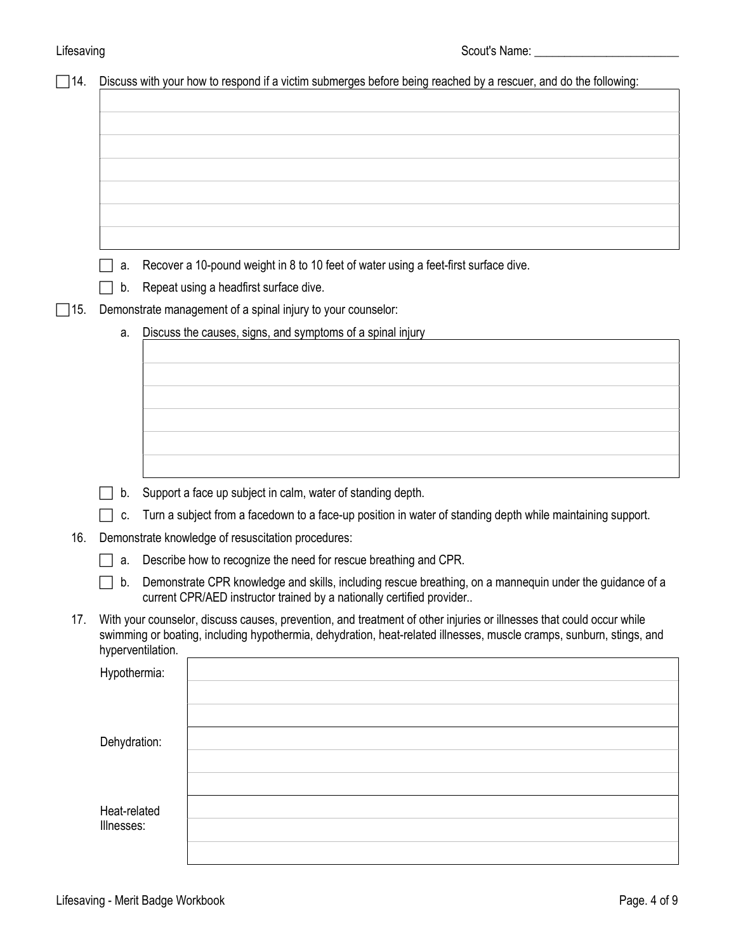| Discuss with your how to respond if a victim submerges before being reached by a rescuer, and do the following: |                   |                                                                                                                                                                                                                                              |  |  |  |
|-----------------------------------------------------------------------------------------------------------------|-------------------|----------------------------------------------------------------------------------------------------------------------------------------------------------------------------------------------------------------------------------------------|--|--|--|
|                                                                                                                 |                   |                                                                                                                                                                                                                                              |  |  |  |
|                                                                                                                 |                   |                                                                                                                                                                                                                                              |  |  |  |
|                                                                                                                 |                   |                                                                                                                                                                                                                                              |  |  |  |
|                                                                                                                 |                   |                                                                                                                                                                                                                                              |  |  |  |
|                                                                                                                 |                   |                                                                                                                                                                                                                                              |  |  |  |
|                                                                                                                 |                   |                                                                                                                                                                                                                                              |  |  |  |
|                                                                                                                 |                   |                                                                                                                                                                                                                                              |  |  |  |
| a.                                                                                                              |                   | Recover a 10-pound weight in 8 to 10 feet of water using a feet-first surface dive.                                                                                                                                                          |  |  |  |
| b.                                                                                                              |                   | Repeat using a headfirst surface dive.                                                                                                                                                                                                       |  |  |  |
| Demonstrate management of a spinal injury to your counselor:                                                    |                   |                                                                                                                                                                                                                                              |  |  |  |
| a.                                                                                                              |                   | Discuss the causes, signs, and symptoms of a spinal injury                                                                                                                                                                                   |  |  |  |
|                                                                                                                 |                   |                                                                                                                                                                                                                                              |  |  |  |
|                                                                                                                 |                   |                                                                                                                                                                                                                                              |  |  |  |
|                                                                                                                 |                   |                                                                                                                                                                                                                                              |  |  |  |
|                                                                                                                 |                   |                                                                                                                                                                                                                                              |  |  |  |
|                                                                                                                 |                   |                                                                                                                                                                                                                                              |  |  |  |
|                                                                                                                 |                   |                                                                                                                                                                                                                                              |  |  |  |
| b.                                                                                                              |                   | Support a face up subject in calm, water of standing depth.                                                                                                                                                                                  |  |  |  |
| c.                                                                                                              |                   | Turn a subject from a facedown to a face-up position in water of standing depth while maintaining support.                                                                                                                                   |  |  |  |
|                                                                                                                 |                   | Demonstrate knowledge of resuscitation procedures:                                                                                                                                                                                           |  |  |  |
| a.                                                                                                              |                   | Describe how to recognize the need for rescue breathing and CPR.                                                                                                                                                                             |  |  |  |
| b.                                                                                                              |                   | Demonstrate CPR knowledge and skills, including rescue breathing, on a mannequin under the guidance of a                                                                                                                                     |  |  |  |
|                                                                                                                 |                   | current CPR/AED instructor trained by a nationally certified provider                                                                                                                                                                        |  |  |  |
|                                                                                                                 | hyperventilation. | With your counselor, discuss causes, prevention, and treatment of other injuries or illnesses that could occur while<br>swimming or boating, including hypothermia, dehydration, heat-related illnesses, muscle cramps, sunburn, stings, and |  |  |  |
| Hypothermia:                                                                                                    |                   |                                                                                                                                                                                                                                              |  |  |  |
|                                                                                                                 |                   |                                                                                                                                                                                                                                              |  |  |  |
|                                                                                                                 |                   |                                                                                                                                                                                                                                              |  |  |  |
|                                                                                                                 |                   |                                                                                                                                                                                                                                              |  |  |  |
| Dehydration:                                                                                                    |                   |                                                                                                                                                                                                                                              |  |  |  |
|                                                                                                                 |                   |                                                                                                                                                                                                                                              |  |  |  |
|                                                                                                                 |                   |                                                                                                                                                                                                                                              |  |  |  |
| Heat-related<br>Illnesses:                                                                                      |                   |                                                                                                                                                                                                                                              |  |  |  |
|                                                                                                                 |                   |                                                                                                                                                                                                                                              |  |  |  |
|                                                                                                                 |                   |                                                                                                                                                                                                                                              |  |  |  |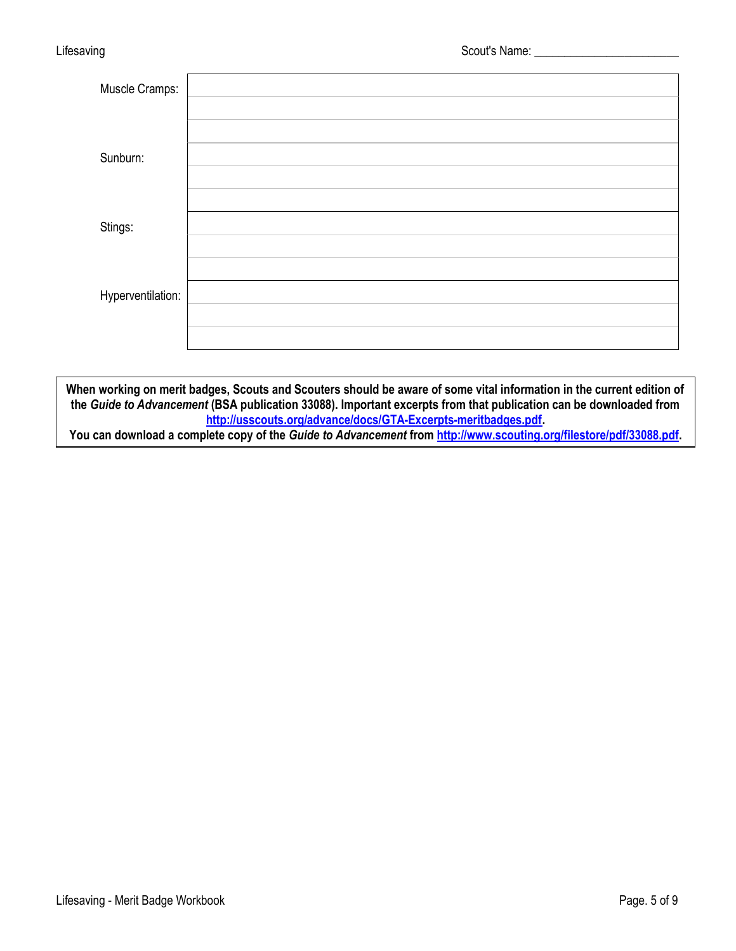| Muscle Cramps:    |  |
|-------------------|--|
|                   |  |
|                   |  |
| Sunburn:          |  |
|                   |  |
|                   |  |
| Stings:           |  |
|                   |  |
|                   |  |
| Hyperventilation: |  |
|                   |  |
|                   |  |

When working on merit badges, Scouts and Scouters should be aware of some vital information in the current edition of the Guide to Advancement (BSA publication 33088). Important excerpts from that publication can be downloaded from http://usscouts.org/advance/docs/GTA-Excerpts-meritbadges.pdf.

You can download a complete copy of the Guide to Advancement from http://www.scouting.org/filestore/pdf/33088.pdf.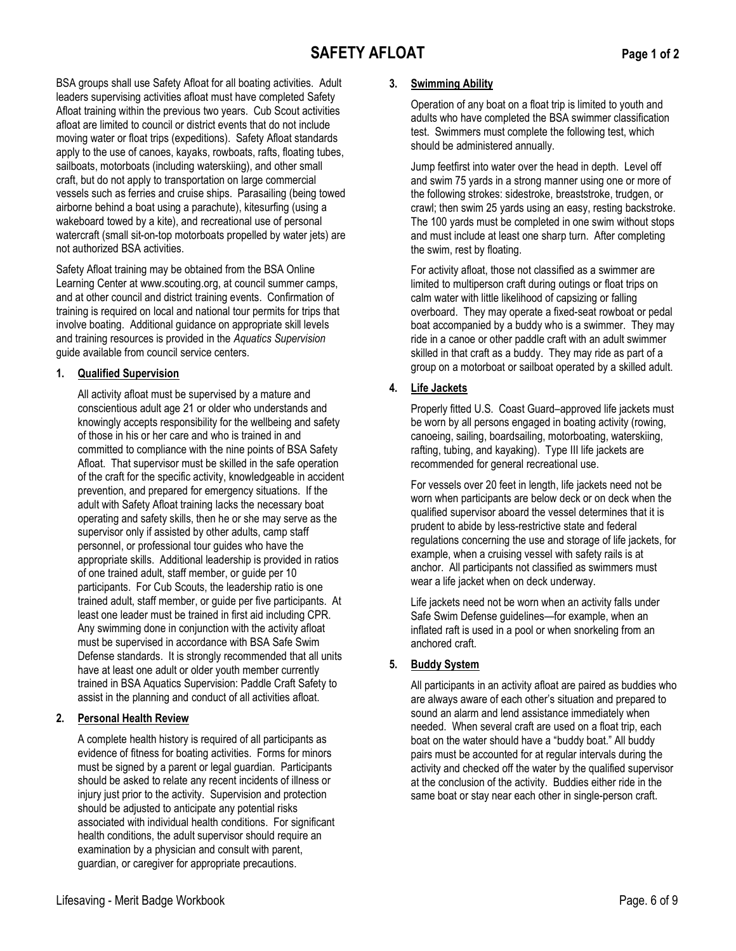## SAFETY AFLOAT Page 1 of 2

BSA groups shall use Safety Afloat for all boating activities. Adult leaders supervising activities afloat must have completed Safety Afloat training within the previous two years. Cub Scout activities afloat are limited to council or district events that do not include moving water or float trips (expeditions). Safety Afloat standards apply to the use of canoes, kayaks, rowboats, rafts, floating tubes, sailboats, motorboats (including waterskiing), and other small craft, but do not apply to transportation on large commercial vessels such as ferries and cruise ships. Parasailing (being towed airborne behind a boat using a parachute), kitesurfing (using a wakeboard towed by a kite), and recreational use of personal watercraft (small sit-on-top motorboats propelled by water jets) are not authorized BSA activities.

Safety Afloat training may be obtained from the BSA Online Learning Center at www.scouting.org, at council summer camps, and at other council and district training events. Confirmation of training is required on local and national tour permits for trips that involve boating. Additional guidance on appropriate skill levels and training resources is provided in the Aquatics Supervision guide available from council service centers.

#### 1. Qualified Supervision

All activity afloat must be supervised by a mature and conscientious adult age 21 or older who understands and knowingly accepts responsibility for the wellbeing and safety of those in his or her care and who is trained in and committed to compliance with the nine points of BSA Safety Afloat. That supervisor must be skilled in the safe operation of the craft for the specific activity, knowledgeable in accident prevention, and prepared for emergency situations. If the adult with Safety Afloat training lacks the necessary boat operating and safety skills, then he or she may serve as the supervisor only if assisted by other adults, camp staff personnel, or professional tour guides who have the appropriate skills. Additional leadership is provided in ratios of one trained adult, staff member, or guide per 10 participants. For Cub Scouts, the leadership ratio is one trained adult, staff member, or guide per five participants. At least one leader must be trained in first aid including CPR. Any swimming done in conjunction with the activity afloat must be supervised in accordance with BSA Safe Swim Defense standards. It is strongly recommended that all units have at least one adult or older youth member currently trained in BSA Aquatics Supervision: Paddle Craft Safety to assist in the planning and conduct of all activities afloat.

#### 2. Personal Health Review

A complete health history is required of all participants as evidence of fitness for boating activities. Forms for minors must be signed by a parent or legal guardian. Participants should be asked to relate any recent incidents of illness or injury just prior to the activity. Supervision and protection should be adjusted to anticipate any potential risks associated with individual health conditions. For significant health conditions, the adult supervisor should require an examination by a physician and consult with parent, guardian, or caregiver for appropriate precautions.

#### 3. Swimming Ability

Operation of any boat on a float trip is limited to youth and adults who have completed the BSA swimmer classification test. Swimmers must complete the following test, which should be administered annually.

Jump feetfirst into water over the head in depth. Level off and swim 75 yards in a strong manner using one or more of the following strokes: sidestroke, breaststroke, trudgen, or crawl; then swim 25 yards using an easy, resting backstroke. The 100 yards must be completed in one swim without stops and must include at least one sharp turn. After completing the swim, rest by floating.

For activity afloat, those not classified as a swimmer are limited to multiperson craft during outings or float trips on calm water with little likelihood of capsizing or falling overboard. They may operate a fixed-seat rowboat or pedal boat accompanied by a buddy who is a swimmer. They may ride in a canoe or other paddle craft with an adult swimmer skilled in that craft as a buddy. They may ride as part of a group on a motorboat or sailboat operated by a skilled adult.

#### 4. Life Jackets

Properly fitted U.S. Coast Guard–approved life jackets must be worn by all persons engaged in boating activity (rowing, canoeing, sailing, boardsailing, motorboating, waterskiing, rafting, tubing, and kayaking). Type III life jackets are recommended for general recreational use.

For vessels over 20 feet in length, life jackets need not be worn when participants are below deck or on deck when the qualified supervisor aboard the vessel determines that it is prudent to abide by less-restrictive state and federal regulations concerning the use and storage of life jackets, for example, when a cruising vessel with safety rails is at anchor. All participants not classified as swimmers must wear a life jacket when on deck underway.

Life jackets need not be worn when an activity falls under Safe Swim Defense guidelines—for example, when an inflated raft is used in a pool or when snorkeling from an anchored craft.

#### 5. Buddy System

All participants in an activity afloat are paired as buddies who are always aware of each other's situation and prepared to sound an alarm and lend assistance immediately when needed. When several craft are used on a float trip, each boat on the water should have a "buddy boat." All buddy pairs must be accounted for at regular intervals during the activity and checked off the water by the qualified supervisor at the conclusion of the activity. Buddies either ride in the same boat or stay near each other in single-person craft.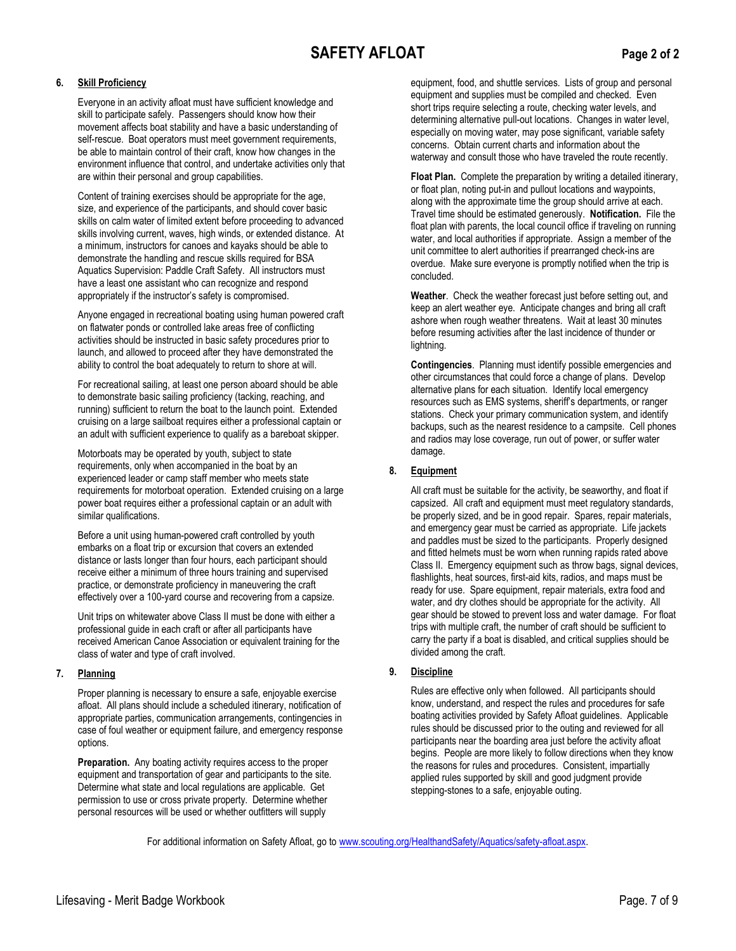#### 6. Skill Proficiency

Everyone in an activity afloat must have sufficient knowledge and skill to participate safely. Passengers should know how their movement affects boat stability and have a basic understanding of self-rescue. Boat operators must meet government requirements, be able to maintain control of their craft, know how changes in the environment influence that control, and undertake activities only that are within their personal and group capabilities.

Content of training exercises should be appropriate for the age, size, and experience of the participants, and should cover basic skills on calm water of limited extent before proceeding to advanced skills involving current, waves, high winds, or extended distance. At a minimum, instructors for canoes and kayaks should be able to demonstrate the handling and rescue skills required for BSA Aquatics Supervision: Paddle Craft Safety. All instructors must have a least one assistant who can recognize and respond appropriately if the instructor's safety is compromised.

Anyone engaged in recreational boating using human powered craft on flatwater ponds or controlled lake areas free of conflicting activities should be instructed in basic safety procedures prior to launch, and allowed to proceed after they have demonstrated the ability to control the boat adequately to return to shore at will.

For recreational sailing, at least one person aboard should be able to demonstrate basic sailing proficiency (tacking, reaching, and running) sufficient to return the boat to the launch point. Extended cruising on a large sailboat requires either a professional captain or an adult with sufficient experience to qualify as a bareboat skipper.

Motorboats may be operated by youth, subject to state requirements, only when accompanied in the boat by an experienced leader or camp staff member who meets state requirements for motorboat operation. Extended cruising on a large power boat requires either a professional captain or an adult with similar qualifications.

Before a unit using human-powered craft controlled by youth embarks on a float trip or excursion that covers an extended distance or lasts longer than four hours, each participant should receive either a minimum of three hours training and supervised practice, or demonstrate proficiency in maneuvering the craft effectively over a 100-yard course and recovering from a capsize.

Unit trips on whitewater above Class II must be done with either a professional guide in each craft or after all participants have received American Canoe Association or equivalent training for the class of water and type of craft involved.

#### 7. Planning

Proper planning is necessary to ensure a safe, enjoyable exercise afloat. All plans should include a scheduled itinerary, notification of appropriate parties, communication arrangements, contingencies in case of foul weather or equipment failure, and emergency response options.

**Preparation.** Any boating activity requires access to the proper equipment and transportation of gear and participants to the site. Determine what state and local regulations are applicable. Get permission to use or cross private property. Determine whether personal resources will be used or whether outfitters will supply

equipment, food, and shuttle services. Lists of group and personal equipment and supplies must be compiled and checked. Even short trips require selecting a route, checking water levels, and determining alternative pull-out locations. Changes in water level, especially on moving water, may pose significant, variable safety concerns. Obtain current charts and information about the waterway and consult those who have traveled the route recently.

Float Plan. Complete the preparation by writing a detailed itinerary, or float plan, noting put-in and pullout locations and waypoints, along with the approximate time the group should arrive at each. Travel time should be estimated generously. Notification. File the float plan with parents, the local council office if traveling on running water, and local authorities if appropriate. Assign a member of the unit committee to alert authorities if prearranged check-ins are overdue. Make sure everyone is promptly notified when the trip is concluded.

Weather. Check the weather forecast just before setting out, and keep an alert weather eye. Anticipate changes and bring all craft ashore when rough weather threatens. Wait at least 30 minutes before resuming activities after the last incidence of thunder or lightning.

Contingencies. Planning must identify possible emergencies and other circumstances that could force a change of plans. Develop alternative plans for each situation. Identify local emergency resources such as EMS systems, sheriff's departments, or ranger stations. Check your primary communication system, and identify backups, such as the nearest residence to a campsite. Cell phones and radios may lose coverage, run out of power, or suffer water damage.

#### 8. Equipment

All craft must be suitable for the activity, be seaworthy, and float if capsized. All craft and equipment must meet regulatory standards, be properly sized, and be in good repair. Spares, repair materials, and emergency gear must be carried as appropriate. Life jackets and paddles must be sized to the participants. Properly designed and fitted helmets must be worn when running rapids rated above Class II. Emergency equipment such as throw bags, signal devices, flashlights, heat sources, first-aid kits, radios, and maps must be ready for use. Spare equipment, repair materials, extra food and water, and dry clothes should be appropriate for the activity. All gear should be stowed to prevent loss and water damage. For float trips with multiple craft, the number of craft should be sufficient to carry the party if a boat is disabled, and critical supplies should be divided among the craft.

#### 9. Discipline

Rules are effective only when followed. All participants should know, understand, and respect the rules and procedures for safe boating activities provided by Safety Afloat guidelines. Applicable rules should be discussed prior to the outing and reviewed for all participants near the boarding area just before the activity afloat begins. People are more likely to follow directions when they know the reasons for rules and procedures. Consistent, impartially applied rules supported by skill and good judgment provide stepping-stones to a safe, enjoyable outing.

For additional information on Safety Afloat, go to www.scouting.org/HealthandSafety/Aquatics/safety-afloat.aspx.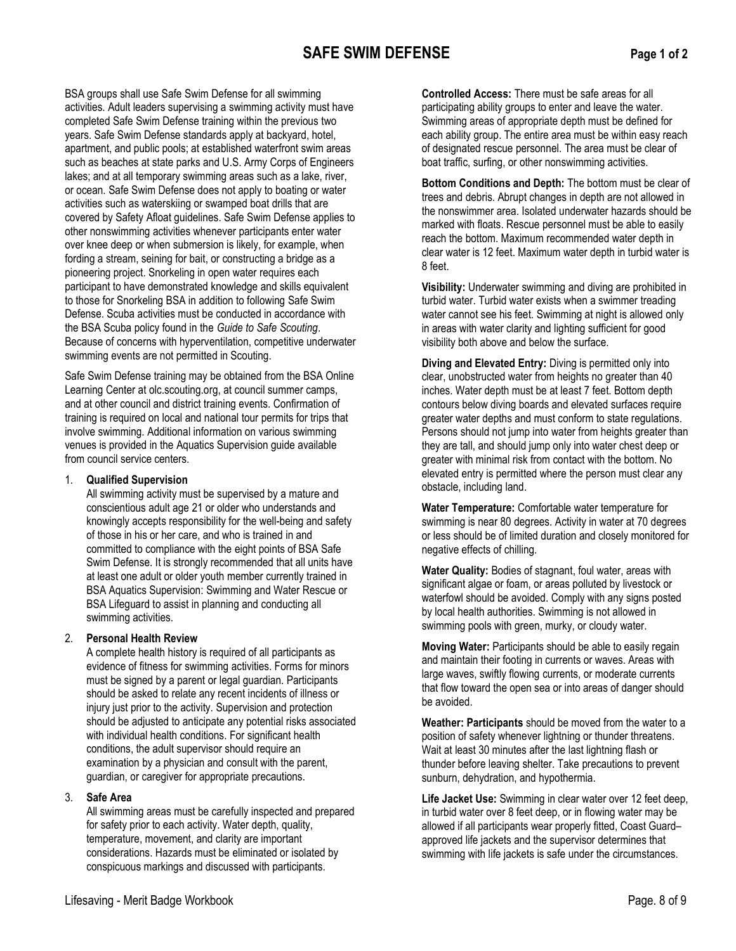### SAFE SWIM DEFENSE Page 1 of 2

BSA groups shall use Safe Swim Defense for all swimming activities. Adult leaders supervising a swimming activity must have completed Safe Swim Defense training within the previous two years. Safe Swim Defense standards apply at backyard, hotel, apartment, and public pools; at established waterfront swim areas such as beaches at state parks and U.S. Army Corps of Engineers lakes; and at all temporary swimming areas such as a lake, river, or ocean. Safe Swim Defense does not apply to boating or water activities such as waterskiing or swamped boat drills that are covered by Safety Afloat guidelines. Safe Swim Defense applies to other nonswimming activities whenever participants enter water over knee deep or when submersion is likely, for example, when fording a stream, seining for bait, or constructing a bridge as a pioneering project. Snorkeling in open water requires each participant to have demonstrated knowledge and skills equivalent to those for Snorkeling BSA in addition to following Safe Swim Defense. Scuba activities must be conducted in accordance with the BSA Scuba policy found in the Guide to Safe Scouting. Because of concerns with hyperventilation, competitive underwater swimming events are not permitted in Scouting.

Safe Swim Defense training may be obtained from the BSA Online Learning Center at olc.scouting.org, at council summer camps, and at other council and district training events. Confirmation of training is required on local and national tour permits for trips that involve swimming. Additional information on various swimming venues is provided in the Aquatics Supervision guide available from council service centers.

#### 1. Qualified Supervision

All swimming activity must be supervised by a mature and conscientious adult age 21 or older who understands and knowingly accepts responsibility for the well-being and safety of those in his or her care, and who is trained in and committed to compliance with the eight points of BSA Safe Swim Defense. It is strongly recommended that all units have at least one adult or older youth member currently trained in BSA Aquatics Supervision: Swimming and Water Rescue or BSA Lifeguard to assist in planning and conducting all swimming activities.

#### 2. Personal Health Review

A complete health history is required of all participants as evidence of fitness for swimming activities. Forms for minors must be signed by a parent or legal guardian. Participants should be asked to relate any recent incidents of illness or injury just prior to the activity. Supervision and protection should be adjusted to anticipate any potential risks associated with individual health conditions. For significant health conditions, the adult supervisor should require an examination by a physician and consult with the parent, guardian, or caregiver for appropriate precautions.

#### 3. Safe Area

All swimming areas must be carefully inspected and prepared for safety prior to each activity. Water depth, quality, temperature, movement, and clarity are important considerations. Hazards must be eliminated or isolated by conspicuous markings and discussed with participants.

Controlled Access: There must be safe areas for all participating ability groups to enter and leave the water. Swimming areas of appropriate depth must be defined for each ability group. The entire area must be within easy reach of designated rescue personnel. The area must be clear of boat traffic, surfing, or other nonswimming activities.

Bottom Conditions and Depth: The bottom must be clear of trees and debris. Abrupt changes in depth are not allowed in the nonswimmer area. Isolated underwater hazards should be marked with floats. Rescue personnel must be able to easily reach the bottom. Maximum recommended water depth in clear water is 12 feet. Maximum water depth in turbid water is 8 feet.

Visibility: Underwater swimming and diving are prohibited in turbid water. Turbid water exists when a swimmer treading water cannot see his feet. Swimming at night is allowed only in areas with water clarity and lighting sufficient for good visibility both above and below the surface.

Diving and Elevated Entry: Diving is permitted only into clear, unobstructed water from heights no greater than 40 inches. Water depth must be at least 7 feet. Bottom depth contours below diving boards and elevated surfaces require greater water depths and must conform to state regulations. Persons should not jump into water from heights greater than they are tall, and should jump only into water chest deep or greater with minimal risk from contact with the bottom. No elevated entry is permitted where the person must clear any obstacle, including land.

Water Temperature: Comfortable water temperature for swimming is near 80 degrees. Activity in water at 70 degrees or less should be of limited duration and closely monitored for negative effects of chilling.

Water Quality: Bodies of stagnant, foul water, areas with significant algae or foam, or areas polluted by livestock or waterfowl should be avoided. Comply with any signs posted by local health authorities. Swimming is not allowed in swimming pools with green, murky, or cloudy water.

Moving Water: Participants should be able to easily regain and maintain their footing in currents or waves. Areas with large waves, swiftly flowing currents, or moderate currents that flow toward the open sea or into areas of danger should be avoided.

Weather: Participants should be moved from the water to a position of safety whenever lightning or thunder threatens. Wait at least 30 minutes after the last lightning flash or thunder before leaving shelter. Take precautions to prevent sunburn, dehydration, and hypothermia.

Life Jacket Use: Swimming in clear water over 12 feet deep, in turbid water over 8 feet deep, or in flowing water may be allowed if all participants wear properly fitted, Coast Guard– approved life jackets and the supervisor determines that swimming with life jackets is safe under the circumstances.